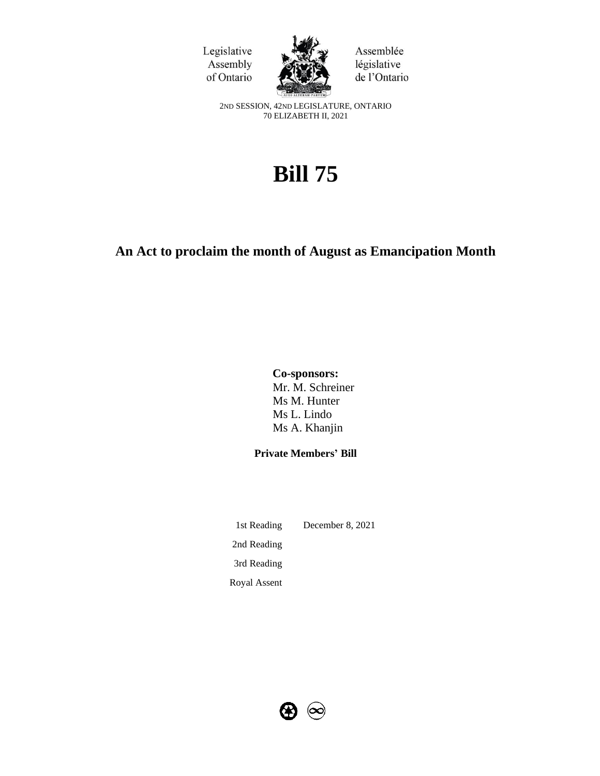



Assemblée législative de l'Ontario

2ND SESSION, 42ND LEGISLATURE, ONTARIO 70 ELIZABETH II, 2021

# **Bill 75**

# **An Act to proclaim the month of August as Emancipation Month**

**Co-sponsors:** Mr. M. Schreiner Ms M. Hunter Ms L. Lindo Ms A. Khanjin

**Private Members' Bill**

1st Reading December 8, 2021 2nd Reading 3rd Reading Royal Assent